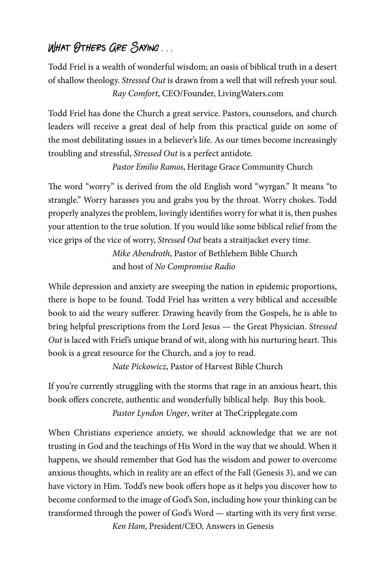#### What Others Are Saying. . .

Todd Friel is a wealth of wonderful wisdom; an oasis of biblical truth in a desert of shallow theology. *Stressed Out* is drawn from a well that will refresh your soul. *Ray Comfort*, CEO/Founder, LivingWaters.com

Todd Friel has done the Church a great service. Pastors, counselors, and church leaders will receive a great deal of help from this practical guide on some of the most debilitating issues in a believer's life. As our times become increasingly troubling and stressful, *Stressed Out* is a perfect antidote.

*Pastor Emilio Ramos*, Heritage Grace Community Church

The word "worry" is derived from the old English word "wyrgan." It means "to strangle." Worry harasses you and grabs you by the throat. Worry chokes. Todd properly analyzes the problem, lovingly identifies worry for what it is, then pushes your attention to the true solution. If you would like some biblical relief from the vice grips of the vice of worry, *Stressed Out* beats a straitjacket every time.

> *Mike Abendroth*, Pastor of Bethlehem Bible Church and host of *No Compromise Radio*

While depression and anxiety are sweeping the nation in epidemic proportions, there is hope to be found. Todd Friel has written a very biblical and accessible book to aid the weary sufferer. Drawing heavily from the Gospels, he is able to bring helpful prescriptions from the Lord Jesus — the Great Physician. *Stressed Out* is laced with Friel's unique brand of wit, along with his nurturing heart. This book is a great resource for the Church, and a joy to read.

*Nate Pickowicz*, Pastor of Harvest Bible Church

If you're currently struggling with the storms that rage in an anxious heart, this book offers concrete, authentic and wonderfully biblical help. Buy this book. *Pastor Lyndon Unger*, writer at TheCripplegate.com

When Christians experience anxiety, we should acknowledge that we are not trusting in God and the teachings of His Word in the way that we should. When it happens, we should remember that God has the wisdom and power to overcome anxious thoughts, which in reality are an effect of the Fall (Genesis 3), and we can have victory in Him. Todd's new book offers hope as it helps you discover how to become conformed to the image of God's Son, including how your thinking can be transformed through the power of God's Word — starting with its very first verse. *Ken Ham*, President/CEO, Answers in Genesis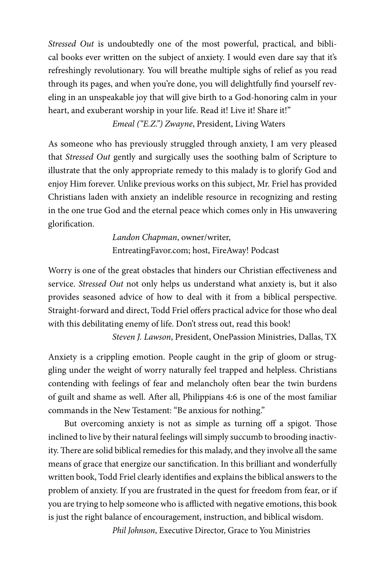*Stressed Out* is undoubtedly one of the most powerful, practical, and biblical books ever written on the subject of anxiety. I would even dare say that it's refreshingly revolutionary. You will breathe multiple sighs of relief as you read through its pages, and when you're done, you will delightfully find yourself reveling in an unspeakable joy that will give birth to a God-honoring calm in your heart, and exuberant worship in your life. Read it! Live it! Share it!"

*Emeal ("E.Z.") Zwayne*, President, Living Waters

As someone who has previously struggled through anxiety, I am very pleased that *Stressed Out* gently and surgically uses the soothing balm of Scripture to illustrate that the only appropriate remedy to this malady is to glorify God and enjoy Him forever. Unlike previous works on this subject, Mr. Friel has provided Christians laden with anxiety an indelible resource in recognizing and resting in the one true God and the eternal peace which comes only in His unwavering glorification.

> *Landon Chapman*, owner/writer, EntreatingFavor.com; host, FireAway! Podcast

Worry is one of the great obstacles that hinders our Christian effectiveness and service. *Stressed Out* not only helps us understand what anxiety is, but it also provides seasoned advice of how to deal with it from a biblical perspective. Straight-forward and direct, Todd Friel offers practical advice for those who deal with this debilitating enemy of life. Don't stress out, read this book!

*Steven J. Lawson*, President, OnePassion Ministries, Dallas, TX

Anxiety is a crippling emotion. People caught in the grip of gloom or struggling under the weight of worry naturally feel trapped and helpless. Christians contending with feelings of fear and melancholy often bear the twin burdens of guilt and shame as well. After all, Philippians 4:6 is one of the most familiar commands in the New Testament: "Be anxious for nothing."

But overcoming anxiety is not as simple as turning off a spigot. Those inclined to live by their natural feelings will simply succumb to brooding inactivity. There are solid biblical remedies for this malady, and they involve all the same means of grace that energize our sanctification. In this brilliant and wonderfully written book, Todd Friel clearly identifies and explains the biblical answers to the problem of anxiety. If you are frustrated in the quest for freedom from fear, or if you are trying to help someone who is afflicted with negative emotions, this book is just the right balance of encouragement, instruction, and biblical wisdom.

*Phil Johnson*, Executive Director, Grace to You Ministries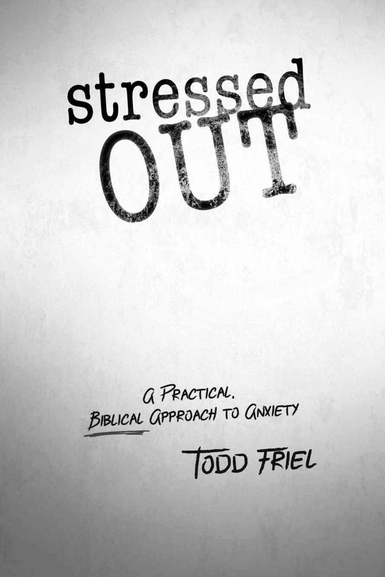

## G PRACTICAL.<br>BIBLICAL GPPROACH TO GNUETY

### ODD FRIEL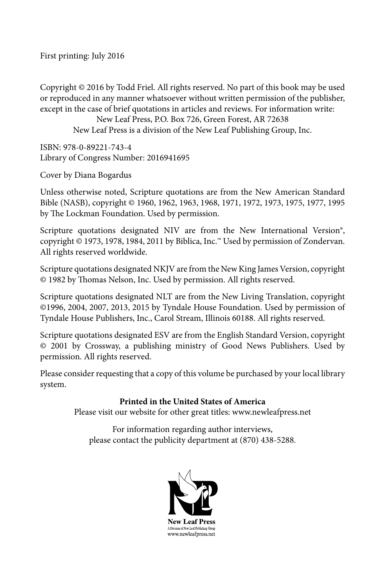First printing: July 2016

Copyright © 2016 by Todd Friel. All rights reserved. No part of this book may be used or reproduced in any manner whatsoever without written permission of the publisher, except in the case of brief quotations in articles and reviews. For information write:

New Leaf Press, P.O. Box 726, Green Forest, AR 72638 New Leaf Press is a division of the New Leaf Publishing Group, Inc.

ISBN: 978-0-89221-743-4 Library of Congress Number: 2016941695

Cover by Diana Bogardus

Unless otherwise noted, Scripture quotations are from the New American Standard Bible (NASB), copyright © 1960, 1962, 1963, 1968, 1971, 1972, 1973, 1975, 1977, 1995 by The Lockman Foundation. Used by permission.

Scripture quotations designated NIV are from the New International Version®, copyright © 1973, 1978, 1984, 2011 by Biblica, Inc.™ Used by permission of Zondervan. All rights reserved worldwide.

Scripture quotations designated NKJV are from the New King James Version, copyright © 1982 by Thomas Nelson, Inc. Used by permission. All rights reserved.

Scripture quotations designated NLT are from the New Living Translation, copyright ©1996, 2004, 2007, 2013, 2015 by Tyndale House Foundation. Used by permission of Tyndale House Publishers, Inc., Carol Stream, Illinois 60188. All rights reserved.

Scripture quotations designated ESV are from the English Standard Version, copyright © 2001 by Crossway, a publishing ministry of Good News Publishers. Used by permission. All rights reserved.

Please consider requesting that a copy of this volume be purchased by your local library system.

#### **Printed in the United States of America**

Please visit our website for other great titles: www.newleafpress.net

For information regarding author interviews, please contact the publicity department at (870) 438-5288.

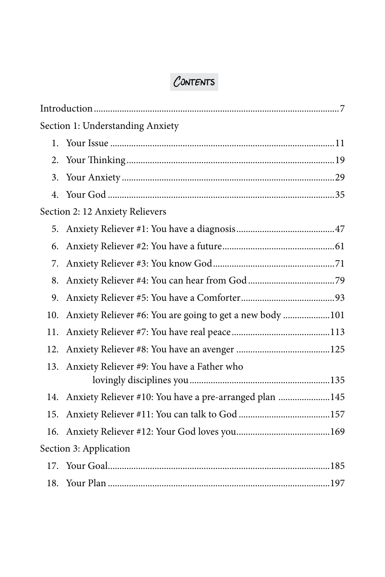#### $\mathcal C$ ONTENTS

|     | Section 1: Understanding Anxiety                           |  |
|-----|------------------------------------------------------------|--|
|     |                                                            |  |
| 2.  |                                                            |  |
| 3.  |                                                            |  |
| 4.  |                                                            |  |
|     | Section 2: 12 Anxiety Relievers                            |  |
| 5.  |                                                            |  |
| 6.  |                                                            |  |
| 7.  |                                                            |  |
| 8.  |                                                            |  |
| 9.  |                                                            |  |
| 10. | Anxiety Reliever #6: You are going to get a new body 101   |  |
| 11. |                                                            |  |
| 12. |                                                            |  |
| 13. | Anxiety Reliever #9: You have a Father who                 |  |
|     | 14. Anxiety Reliever #10: You have a pre-arranged plan 145 |  |
| 15. |                                                            |  |
| 16. |                                                            |  |
|     | Section 3: Application                                     |  |
|     |                                                            |  |
|     |                                                            |  |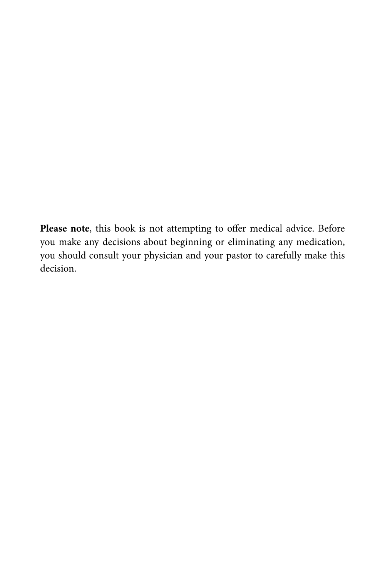**Please note**, this book is not attempting to offer medical advice. Before you make any decisions about beginning or eliminating any medication, you should consult your physician and your pastor to carefully make this decision.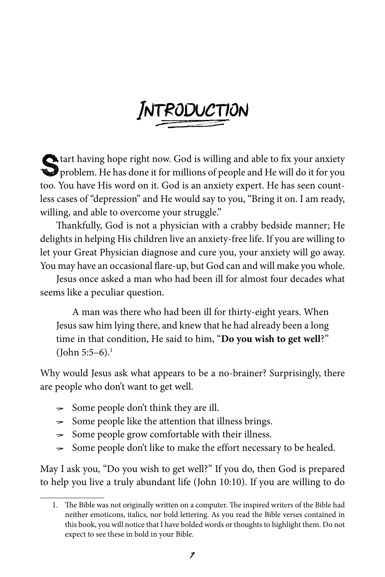Introduction

Start having hope right now. God is willing and able to fix your anxiety problem. He has done it for millions of people and He will do it for you too. You have His word on it. God is an anxiety expert. He has seen countless cases of "depression" and He would say to you, "Bring it on. I am ready, willing, and able to overcome your struggle."

Thankfully, God is not a physician with a crabby bedside manner; He delights in helping His children live an anxiety-free life. If you are willing to let your Great Physician diagnose and cure you, your anxiety will go away. You may have an occasional flare-up, but God can and will make you whole.

Jesus once asked a man who had been ill for almost four decades what seems like a peculiar question.

A man was there who had been ill for thirty-eight years. When Jesus saw him lying there, and knew that he had already been a long time in that condition, He said to him, "**Do you wish to get well**?"  $(John 5:5-6).<sup>1</sup>$ 

Why would Jesus ask what appears to be a no-brainer? Surprisingly, there are people who don't want to get well.

- $\geq$  Some people don't think they are ill.
- $\geq$  Some people like the attention that illness brings.
- $\geq$  Some people grow comfortable with their illness.
- $\geq$  Some people don't like to make the effort necessary to be healed.

May I ask you, "Do you wish to get well?" If you do, then God is prepared to help you live a truly abundant life (John 10:10). If you are willing to do

<sup>1.</sup> The Bible was not originally written on a computer. The inspired writers of the Bible had neither emoticons, italics, nor bold lettering. As you read the Bible verses contained in this book, you will notice that I have bolded words or thoughts to highlight them. Do not expect to see these in bold in your Bible.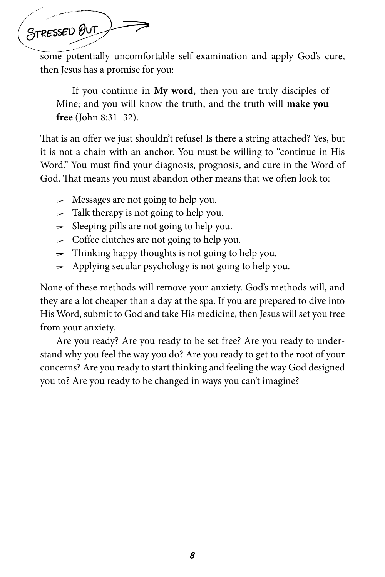STRESSED OUT

some potentially uncomfortable self-examination and apply God's cure, then Jesus has a promise for you:

If you continue in **My word**, then you are truly disciples of Mine; and you will know the truth, and the truth will **make you free** (John 8:31–32).

That is an offer we just shouldn't refuse! Is there a string attached? Yes, but it is not a chain with an anchor. You must be willing to "continue in His Word." You must find your diagnosis, prognosis, and cure in the Word of God. That means you must abandon other means that we often look to:

- $\rightarrow$  Messages are not going to help you.
- $\overline{\phantom{a}}$  Talk therapy is not going to help you.
- $\Rightarrow$  Sleeping pills are not going to help you.
- > Coffee clutches are not going to help you.
- $\rightarrow$  Thinking happy thoughts is not going to help you.
- $\rightarrow$  Applying secular psychology is not going to help you.

None of these methods will remove your anxiety. God's methods will, and they are a lot cheaper than a day at the spa. If you are prepared to dive into His Word, submit to God and take His medicine, then Jesus will set you free from your anxiety.

Are you ready? Are you ready to be set free? Are you ready to understand why you feel the way you do? Are you ready to get to the root of your concerns? Are you ready to start thinking and feeling the way God designed you to? Are you ready to be changed in ways you can't imagine?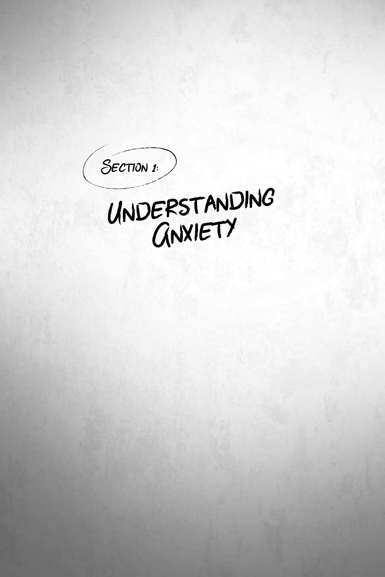

# UNDERSTANDING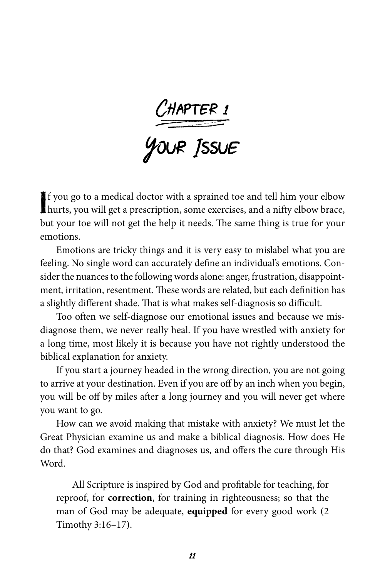CHAPTER 1 Your Issue

If you go to a medical doctor with a sprained toe and tell him your elbow hurts, you will get a prescription, some exercises, and a nifty elbow brace, **If** you go to a medical doctor with a sprained toe and tell him your elbow but your toe will not get the help it needs. The same thing is true for your emotions.

Emotions are tricky things and it is very easy to mislabel what you are feeling. No single word can accurately define an individual's emotions. Consider the nuances to the following words alone: anger, frustration, disappointment, irritation, resentment. These words are related, but each definition has a slightly different shade. That is what makes self-diagnosis so difficult.

Too often we self-diagnose our emotional issues and because we misdiagnose them, we never really heal. If you have wrestled with anxiety for a long time, most likely it is because you have not rightly understood the biblical explanation for anxiety.

If you start a journey headed in the wrong direction, you are not going to arrive at your destination. Even if you are off by an inch when you begin, you will be off by miles after a long journey and you will never get where you want to go.

How can we avoid making that mistake with anxiety? We must let the Great Physician examine us and make a biblical diagnosis. How does He do that? God examines and diagnoses us, and offers the cure through His Word.

All Scripture is inspired by God and profitable for teaching, for reproof, for **correction**, for training in righteousness; so that the man of God may be adequate, **equipped** for every good work (2 Timothy 3:16–17).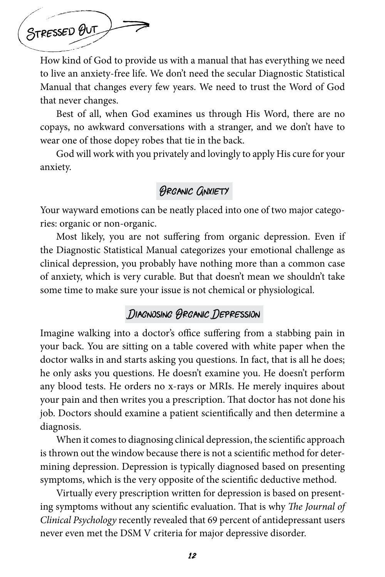STRESSED OUT

How kind of God to provide us with a manual that has everything we need to live an anxiety-free life. We don't need the secular Diagnostic Statistical Manual that changes every few years. We need to trust the Word of God that never changes.

Best of all, when God examines us through His Word, there are no copays, no awkward conversations with a stranger, and we don't have to wear one of those dopey robes that tie in the back.

God will work with you privately and lovingly to apply His cure for your anxiety.

#### *ORGANIC GNXIETY*

Your wayward emotions can be neatly placed into one of two major categories: organic or non-organic.

Most likely, you are not suffering from organic depression. Even if the Diagnostic Statistical Manual categorizes your emotional challenge as clinical depression, you probably have nothing more than a common case of anxiety, which is very curable. But that doesn't mean we shouldn't take some time to make sure your issue is not chemical or physiological.

#### DIAGNOSING ORGANIC DEPRESSION

Imagine walking into a doctor's office suffering from a stabbing pain in your back. You are sitting on a table covered with white paper when the doctor walks in and starts asking you questions. In fact, that is all he does; he only asks you questions. He doesn't examine you. He doesn't perform any blood tests. He orders no x-rays or MRIs. He merely inquires about your pain and then writes you a prescription. That doctor has not done his job. Doctors should examine a patient scientifically and then determine a diagnosis.

When it comes to diagnosing clinical depression, the scientific approach is thrown out the window because there is not a scientific method for determining depression. Depression is typically diagnosed based on presenting symptoms, which is the very opposite of the scientific deductive method.

Virtually every prescription written for depression is based on presenting symptoms without any scientific evaluation. That is why *The Journal of Clinical Psychology* recently revealed that 69 percent of antidepressant users never even met the DSM V criteria for major depressive disorder.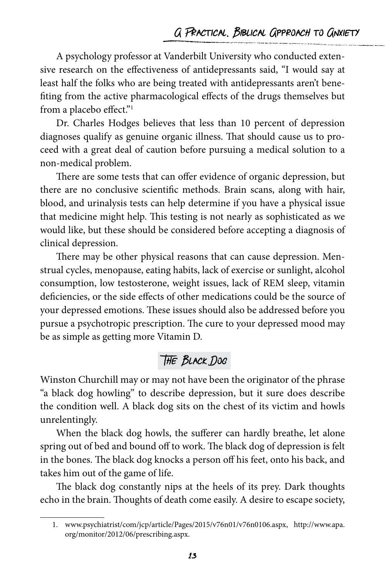#### A Practical, Biblical Approach to Anxiety

A psychology professor at Vanderbilt University who conducted extensive research on the effectiveness of antidepressants said, "I would say at least half the folks who are being treated with antidepressants aren't benefiting from the active pharmacological effects of the drugs themselves but from a placebo effect."1

Dr. Charles Hodges believes that less than 10 percent of depression diagnoses qualify as genuine organic illness. That should cause us to proceed with a great deal of caution before pursuing a medical solution to a non-medical problem.

There are some tests that can offer evidence of organic depression, but there are no conclusive scientific methods. Brain scans, along with hair, blood, and urinalysis tests can help determine if you have a physical issue that medicine might help. This testing is not nearly as sophisticated as we would like, but these should be considered before accepting a diagnosis of clinical depression.

There may be other physical reasons that can cause depression. Menstrual cycles, menopause, eating habits, lack of exercise or sunlight, alcohol consumption, low testosterone, weight issues, lack of REM sleep, vitamin deficiencies, or the side effects of other medications could be the source of your depressed emotions. These issues should also be addressed before you pursue a psychotropic prescription. The cure to your depressed mood may be as simple as getting more Vitamin D.

#### **THE BLACK DOG**

Winston Churchill may or may not have been the originator of the phrase "a black dog howling" to describe depression, but it sure does describe the condition well. A black dog sits on the chest of its victim and howls unrelentingly.

When the black dog howls, the sufferer can hardly breathe, let alone spring out of bed and bound off to work. The black dog of depression is felt in the bones. The black dog knocks a person off his feet, onto his back, and takes him out of the game of life.

The black dog constantly nips at the heels of its prey. Dark thoughts echo in the brain. Thoughts of death come easily. A desire to escape society,

<sup>1.</sup> www.psychiatrist/com/jcp/article/Pages/2015/v76n01/v76n0106.aspx, http://www.apa. org/monitor/2012/06/prescribing.aspx.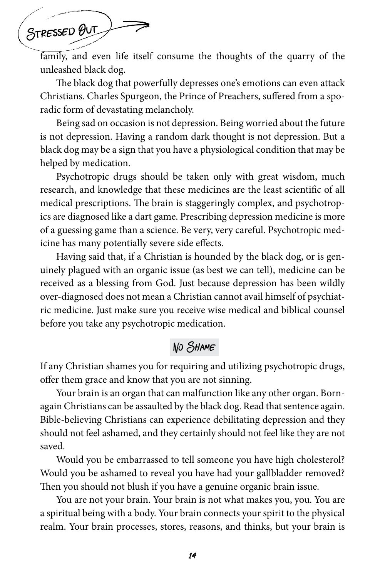STRESSED QUT

family, and even life itself consume the thoughts of the quarry of the unleashed black dog.

The black dog that powerfully depresses one's emotions can even attack Christians. Charles Spurgeon, the Prince of Preachers, suffered from a sporadic form of devastating melancholy.

Being sad on occasion is not depression. Being worried about the future is not depression. Having a random dark thought is not depression. But a black dog may be a sign that you have a physiological condition that may be helped by medication.

Psychotropic drugs should be taken only with great wisdom, much research, and knowledge that these medicines are the least scientific of all medical prescriptions. The brain is staggeringly complex, and psychotropics are diagnosed like a dart game. Prescribing depression medicine is more of a guessing game than a science. Be very, very careful. Psychotropic medicine has many potentially severe side effects.

Having said that, if a Christian is hounded by the black dog, or is genuinely plagued with an organic issue (as best we can tell), medicine can be received as a blessing from God. Just because depression has been wildly over-diagnosed does not mean a Christian cannot avail himself of psychiatric medicine. Just make sure you receive wise medical and biblical counsel before you take any psychotropic medication.

#### No Shame

If any Christian shames you for requiring and utilizing psychotropic drugs, offer them grace and know that you are not sinning.

Your brain is an organ that can malfunction like any other organ. Bornagain Christians can be assaulted by the black dog. Read that sentence again. Bible-believing Christians can experience debilitating depression and they should not feel ashamed, and they certainly should not feel like they are not saved.

Would you be embarrassed to tell someone you have high cholesterol? Would you be ashamed to reveal you have had your gallbladder removed? Then you should not blush if you have a genuine organic brain issue.

You are not your brain. Your brain is not what makes you, you. You are a spiritual being with a body. Your brain connects your spirit to the physical realm. Your brain processes, stores, reasons, and thinks, but your brain is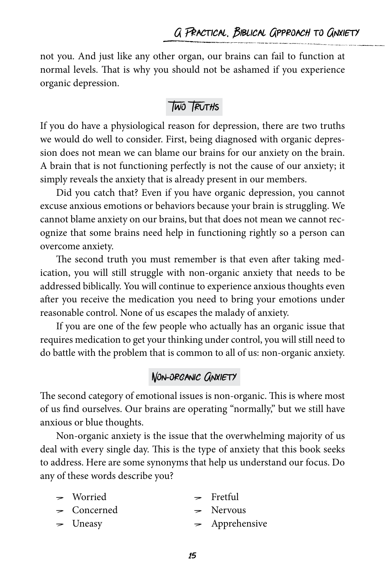#### A Practical, Biblical Approach to Anxiety

not you. And just like any other organ, our brains can fail to function at normal levels. That is why you should not be ashamed if you experience organic depression.

#### **TWO TRUTHS**

If you do have a physiological reason for depression, there are two truths we would do well to consider. First, being diagnosed with organic depression does not mean we can blame our brains for our anxiety on the brain. A brain that is not functioning perfectly is not the cause of our anxiety; it simply reveals the anxiety that is already present in our members.

Did you catch that? Even if you have organic depression, you cannot excuse anxious emotions or behaviors because your brain is struggling. We cannot blame anxiety on our brains, but that does not mean we cannot recognize that some brains need help in functioning rightly so a person can overcome anxiety.

The second truth you must remember is that even after taking medication, you will still struggle with non-organic anxiety that needs to be addressed biblically. You will continue to experience anxious thoughts even after you receive the medication you need to bring your emotions under reasonable control. None of us escapes the malady of anxiety.

If you are one of the few people who actually has an organic issue that requires medication to get your thinking under control, you will still need to do battle with the problem that is common to all of us: non-organic anxiety.

#### Non-organic Anxiety

The second category of emotional issues is non-organic. This is where most of us find ourselves. Our brains are operating "normally," but we still have anxious or blue thoughts.

Non-organic anxiety is the issue that the overwhelming majority of us deal with every single day. This is the type of anxiety that this book seeks to address. Here are some synonyms that help us understand our focus. Do any of these words describe you?

| > Worried               | $\rightarrow$ Fretful      |
|-------------------------|----------------------------|
| $\rightarrow$ Concerned | $\geq$ Nervous             |
| $\rightarrow$ Uneasy    | $\rightarrow$ Apprehensive |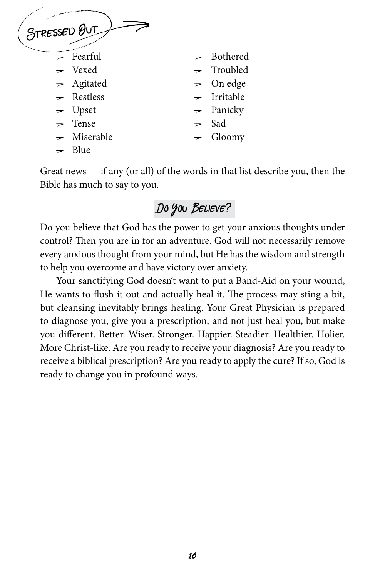| STRESSED OUT  |                         |            |
|---------------|-------------------------|------------|
|               | $\rightarrow$ Fearful   | <b>Bot</b> |
|               | $\rightarrow$ Vexed     | Tro        |
|               | $\rightarrow$ Agitated  | On         |
|               | - Restless              | Irri       |
|               | $\rightarrow$ Upset     | Pan        |
| $\rightarrow$ | Tense                   | $\geq$ Sad |
|               | $\rightarrow$ Miserable | Glo        |
| $\Rightarrow$ | Blue                    |            |

Great news — if any (or all) of the words in that list describe you, then the Bible has much to say to you.

Bothered Troubled On edge Irritable Panicky

Gloomy

#### Do You Believe?

Do you believe that God has the power to get your anxious thoughts under control? Then you are in for an adventure. God will not necessarily remove every anxious thought from your mind, but He has the wisdom and strength to help you overcome and have victory over anxiety.

Your sanctifying God doesn't want to put a Band-Aid on your wound, He wants to flush it out and actually heal it. The process may sting a bit, but cleansing inevitably brings healing. Your Great Physician is prepared to diagnose you, give you a prescription, and not just heal you, but make you different. Better. Wiser. Stronger. Happier. Steadier. Healthier. Holier. More Christ-like. Are you ready to receive your diagnosis? Are you ready to receive a biblical prescription? Are you ready to apply the cure? If so, God is ready to change you in profound ways.